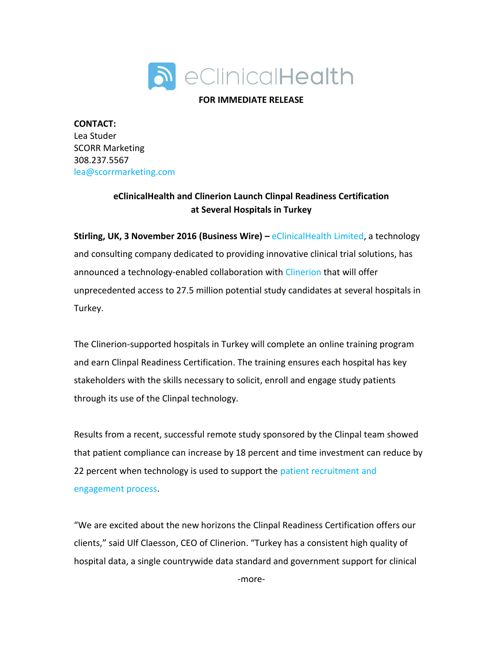

## **FOR IMMEDIATE RELEASE**

**CONTACT:**  Lea Studer SCORR Marketing 308.237.5567 [lea@scorrmarketing.com](mailto:lea@scorrmarketing.com)

## **eClinicalHealth and Clinerion Launch Clinpal Readiness Certification at Several Hospitals in Turkey**

**Stirling, UK, 3 November 2016 (Business Wire) –** [eClinicalHealth Limited,](http://www.clinpal.com/) a technology and consulting company dedicated to providing innovative clinical trial solutions, has announced a technology-enabled collaboration with [Clinerion](https://www.clinerion.com/index.html) that will offer unprecedented access to 27.5 million potential study candidates at several hospitals in Turkey.

The Clinerion-supported hospitals in Turkey will complete an online training program and earn Clinpal Readiness Certification. The training ensures each hospital has key stakeholders with the skills necessary to solicit, enroll and engage study patients through its use of the Clinpal technology.

Results from a recent, successful remote study sponsored by the Clinpal team showed that patient compliance can increase by 18 percent and time investment can reduce by 22 percent when technology is used to support the patient recruitment and [engagement process.](http://www.clinpal.com/clinpal-blog/eclinicalhealth-announces-successful-results-entirely-remote-online-clinical-trial-3/)

"We are excited about the new horizons the Clinpal Readiness Certification offers our clients," said Ulf Claesson, CEO of Clinerion. "Turkey has a consistent high quality of hospital data, a single countrywide data standard and government support for clinical

-more-